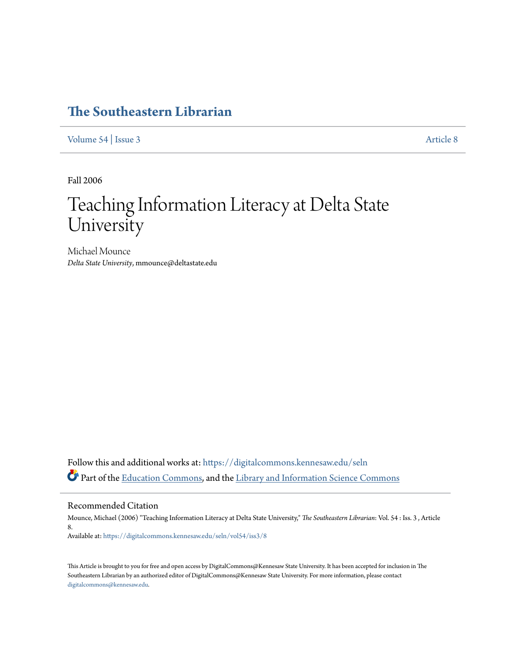## **[The Southeastern Librarian](https://digitalcommons.kennesaw.edu/seln?utm_source=digitalcommons.kennesaw.edu%2Fseln%2Fvol54%2Fiss3%2F8&utm_medium=PDF&utm_campaign=PDFCoverPages)**

[Volume 54](https://digitalcommons.kennesaw.edu/seln/vol54?utm_source=digitalcommons.kennesaw.edu%2Fseln%2Fvol54%2Fiss3%2F8&utm_medium=PDF&utm_campaign=PDFCoverPages) | [Issue 3](https://digitalcommons.kennesaw.edu/seln/vol54/iss3?utm_source=digitalcommons.kennesaw.edu%2Fseln%2Fvol54%2Fiss3%2F8&utm_medium=PDF&utm_campaign=PDFCoverPages) [Article 8](https://digitalcommons.kennesaw.edu/seln/vol54/iss3/8?utm_source=digitalcommons.kennesaw.edu%2Fseln%2Fvol54%2Fiss3%2F8&utm_medium=PDF&utm_campaign=PDFCoverPages)

Fall 2006

# Teaching Information Literacy at Delta State University

Michael Mounce *Delta State University*, mmounce@deltastate.edu

Follow this and additional works at: [https://digitalcommons.kennesaw.edu/seln](https://digitalcommons.kennesaw.edu/seln?utm_source=digitalcommons.kennesaw.edu%2Fseln%2Fvol54%2Fiss3%2F8&utm_medium=PDF&utm_campaign=PDFCoverPages) Part of the [Education Commons](http://network.bepress.com/hgg/discipline/784?utm_source=digitalcommons.kennesaw.edu%2Fseln%2Fvol54%2Fiss3%2F8&utm_medium=PDF&utm_campaign=PDFCoverPages), and the [Library and Information Science Commons](http://network.bepress.com/hgg/discipline/1018?utm_source=digitalcommons.kennesaw.edu%2Fseln%2Fvol54%2Fiss3%2F8&utm_medium=PDF&utm_campaign=PDFCoverPages)

Recommended Citation

Mounce, Michael (2006) "Teaching Information Literacy at Delta State University," *The Southeastern Librarian*: Vol. 54 : Iss. 3 , Article 8. Available at: [https://digitalcommons.kennesaw.edu/seln/vol54/iss3/8](https://digitalcommons.kennesaw.edu/seln/vol54/iss3/8?utm_source=digitalcommons.kennesaw.edu%2Fseln%2Fvol54%2Fiss3%2F8&utm_medium=PDF&utm_campaign=PDFCoverPages)

This Article is brought to you for free and open access by DigitalCommons@Kennesaw State University. It has been accepted for inclusion in The Southeastern Librarian by an authorized editor of DigitalCommons@Kennesaw State University. For more information, please contact [digitalcommons@kennesaw.edu.](mailto:digitalcommons@kennesaw.edu)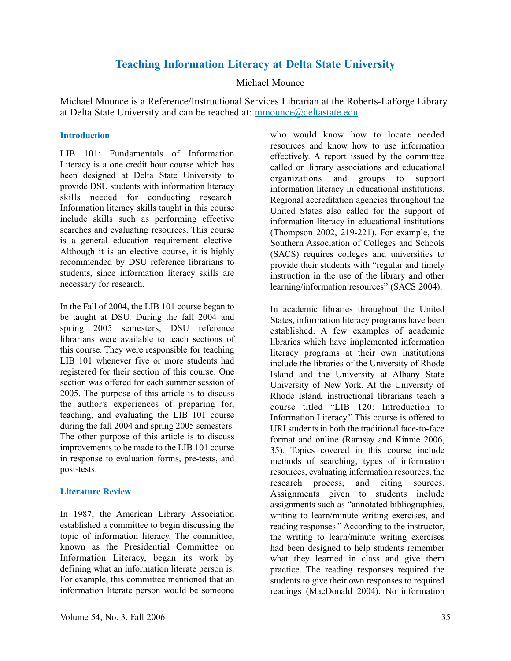### **Teaching Information Literacy at Delta State University**

#### Michael Mounce

Michael Mounce is a Reference/Instructional Services Librarian at the Roberts-LaForge Library at Delta State University and can be reached at: **mmounce@deltastate.edu** 

#### **Introduction**

LIB 101: Fundamentals of Information Literacy is a one credit hour course which has been designed at Delta State University to provide DSU students with information literacy skills needed for conducting research. Information literacy skills taught in this course include skills such as performing effective searches and evaluating resources. This course is a general education requirement elective. Although it is an elective course, it is highly recommended by DSU reference librarians to students, since information literacy skills are necessary for research.

In the Fall of 2004, the LIB 101 course began to be taught at DSU. During the fall 2004 and spring 2005 semesters, DSU reference librarians were available to teach sections of this course. They were responsible for teaching LIB 101 whenever five or more students had registered for their section of this course. One section was offered for each summer session of 2005. The purpose of this article is to discuss the author's experiences of preparing for, teaching, and evaluating the LIB 101 course during the fall 2004 and spring 2005 semesters. The other purpose of this article is to discuss improvements to be made to the LIB 101 course in response to evaluation forms, pre-tests, and post-tests.

#### **Literature Review**

In 1987, the American Library Association established a committee to begin discussing the topic of information literacy. The committee, known as the Presidential Committee on Information Literacy, began its work by defining what an information literate person is. For example, this committee mentioned that an information literate person would be someone who would know how to locate needed resources and know how to use information effectively. A report issued by the committee called on library associations and educational organizations and groups to support information literacy in educational institutions. Regional accreditation agencies throughout the United States also called for the support of information literacy in educational institutions (Thompson 2002, 219-221). For example, the Southern Association of Colleges and Schools (SACS) requires colleges and universities to provide their students with "regular and timely instruction in the use of the library and other learning/information resources" (SACS 2004).

In academic libraries throughout the United States, information literacy programs have been established. A few examples of academic libraries which have implemented information literacy programs at their own institutions include the libraries of the University of Rhode Island and the University at Albany State University of New York. At the University of Rhode Island, instructional librarians teach a course titled "LIB 120: Introduction to Information Literacy." This course is offered to URI students in both the traditional face-to-face format and online (Ramsay and Kinnie 2006, 35). Topics covered in this course include methods of searching, types of information resources, evaluating information resources, the research process, and citing sources. Assignments given to students include assignments such as "annotated bibliographies, writing to learn/minute writing exercises, and reading responses." According to the instructor, the writing to learn/minute writing exercises had been designed to help students remember what they learned in class and give them practice. The reading responses required the students to give their own responses to required readings (MacDonald 2004). No information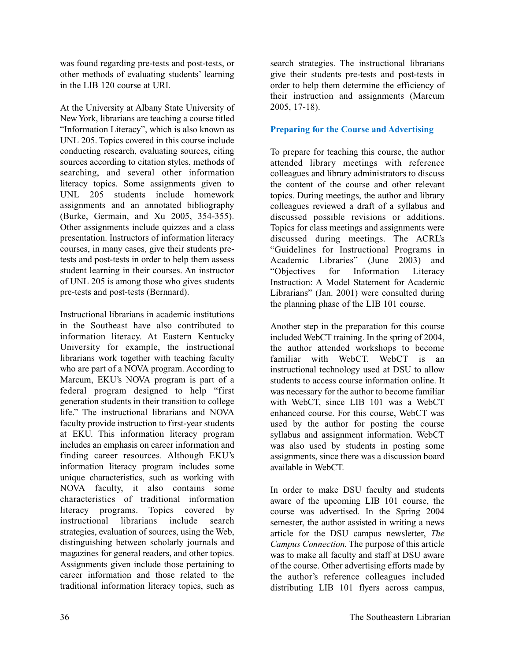was found regarding pre-tests and post-tests, or other methods of evaluating students' learning in the LIB 120 course at URI.

At the University at Albany State University of New York, librarians are teaching a course titled "Information Literacy", which is also known as UNL 205. Topics covered in this course include conducting research, evaluating sources, citing sources according to citation styles, methods of searching, and several other information literacy topics. Some assignments given to UNL 205 students include homework assignments and an annotated bibliography (Burke, Germain, and Xu 2005, 354-355). Other assignments include quizzes and a class presentation. Instructors of information literacy courses, in many cases, give their students pretests and post-tests in order to help them assess student learning in their courses. An instructor of UNL 205 is among those who gives students pre-tests and post-tests (Bernnard).

Instructional librarians in academic institutions in the Southeast have also contributed to information literacy. At Eastern Kentucky University for example, the instructional librarians work together with teaching faculty who are part of a NOVA program. According to Marcum, EKU's NOVA program is part of a federal program designed to help "first generation students in their transition to college life." The instructional librarians and NOVA faculty provide instruction to first-year students at EKU. This information literacy program includes an emphasis on career information and finding career resources. Although EKU's information literacy program includes some unique characteristics, such as working with NOVA faculty, it also contains some characteristics of traditional information literacy programs. Topics covered by instructional librarians include search strategies, evaluation of sources, using the Web, distinguishing between scholarly journals and magazines for general readers, and other topics. Assignments given include those pertaining to career information and those related to the traditional information literacy topics, such as

search strategies. The instructional librarians give their students pre-tests and post-tests in order to help them determine the efficiency of their instruction and assignments (Marcum 2005, 17-18).

#### **Preparing for the Course and Advertising**

To prepare for teaching this course, the author attended library meetings with reference colleagues and library administrators to discuss the content of the course and other relevant topics. During meetings, the author and library colleagues reviewed a draft of a syllabus and discussed possible revisions or additions. Topics for class meetings and assignments were discussed during meetings. The ACRL's "Guidelines for Instructional Programs in Academic Libraries" (June 2003) and "Objectives for Information Literacy Instruction: A Model Statement for Academic Librarians" (Jan. 2001) were consulted during the planning phase of the LIB 101 course.

Another step in the preparation for this course included WebCT training. In the spring of 2004, the author attended workshops to become familiar with WebCT. WebCT is an instructional technology used at DSU to allow students to access course information online. It was necessary for the author to become familiar with WebCT, since LIB 101 was a WebCT enhanced course. For this course, WebCT was used by the author for posting the course syllabus and assignment information. WebCT was also used by students in posting some assignments, since there was a discussion board available in WebCT.

In order to make DSU faculty and students aware of the upcoming LIB 101 course, the course was advertised. In the Spring 2004 semester, the author assisted in writing a news article for the DSU campus newsletter, *The Campus Connection.* The purpose of this article was to make all faculty and staff at DSU aware of the course. Other advertising efforts made by the author's reference colleagues included distributing LIB 101 flyers across campus,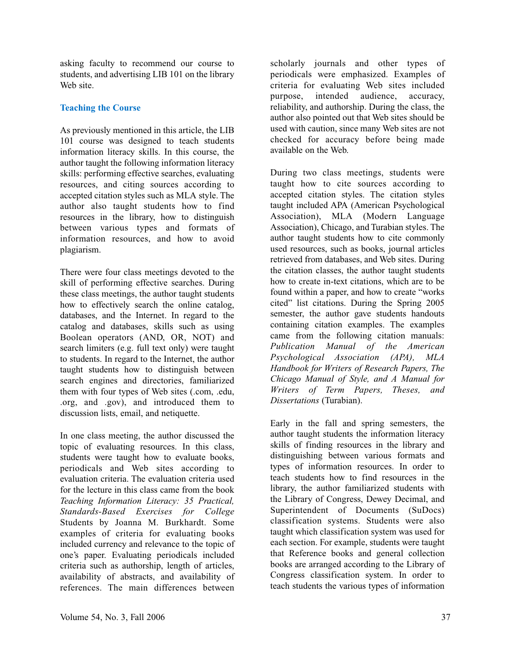asking faculty to recommend our course to students, and advertising LIB 101 on the library Web site.

#### **Teaching the Course**

As previously mentioned in this article, the LIB 101 course was designed to teach students information literacy skills. In this course, the author taught the following information literacy skills: performing effective searches, evaluating resources, and citing sources according to accepted citation styles such as MLA style. The author also taught students how to find resources in the library, how to distinguish between various types and formats of information resources, and how to avoid plagiarism.

There were four class meetings devoted to the skill of performing effective searches. During these class meetings, the author taught students how to effectively search the online catalog, databases, and the Internet. In regard to the catalog and databases, skills such as using Boolean operators (AND, OR, NOT) and search limiters (e.g. full text only) were taught to students. In regard to the Internet, the author taught students how to distinguish between search engines and directories, familiarized them with four types of Web sites (.com, .edu, .org, and .gov), and introduced them to discussion lists, email, and netiquette.

In one class meeting, the author discussed the topic of evaluating resources. In this class, students were taught how to evaluate books, periodicals and Web sites according to evaluation criteria. The evaluation criteria used for the lecture in this class came from the book *Teaching Information Literacy: 35 Practical, Standards-Based Exercises for College* Students by Joanna M. Burkhardt. Some examples of criteria for evaluating books included currency and relevance to the topic of one's paper. Evaluating periodicals included criteria such as authorship, length of articles, availability of abstracts, and availability of references. The main differences between

scholarly journals and other types of periodicals were emphasized. Examples of criteria for evaluating Web sites included purpose, intended audience, accuracy, reliability, and authorship. During the class, the author also pointed out that Web sites should be used with caution, since many Web sites are not checked for accuracy before being made available on the Web.

During two class meetings, students were taught how to cite sources according to accepted citation styles. The citation styles taught included APA (American Psychological Association), MLA (Modern Language Association), Chicago, and Turabian styles. The author taught students how to cite commonly used resources, such as books, journal articles retrieved from databases, and Web sites. During the citation classes, the author taught students how to create in-text citations, which are to be found within a paper, and how to create "works cited" list citations. During the Spring 2005 semester, the author gave students handouts containing citation examples. The examples came from the following citation manuals: *Publication Manual of the American Psychological Association (APA), MLA Handbook for Writers of Research Papers, The Chicago Manual of Style, and A Manual for Writers of Term Papers, Theses, and Dissertations* (Turabian).

Early in the fall and spring semesters, the author taught students the information literacy skills of finding resources in the library and distinguishing between various formats and types of information resources. In order to teach students how to find resources in the library, the author familiarized students with the Library of Congress, Dewey Decimal, and Superintendent of Documents (SuDocs) classification systems. Students were also taught which classification system was used for each section. For example, students were taught that Reference books and general collection books are arranged according to the Library of Congress classification system. In order to teach students the various types of information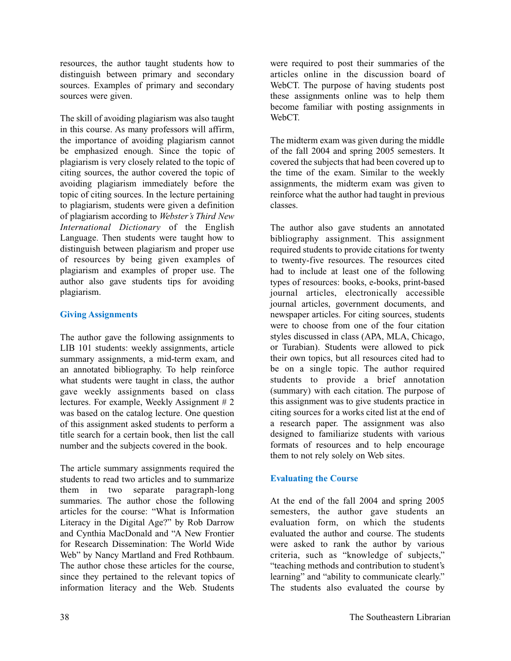resources, the author taught students how to distinguish between primary and secondary sources. Examples of primary and secondary sources were given.

The skill of avoiding plagiarism was also taught in this course. As many professors will affirm, the importance of avoiding plagiarism cannot be emphasized enough. Since the topic of plagiarism is very closely related to the topic of citing sources, the author covered the topic of avoiding plagiarism immediately before the topic of citing sources. In the lecture pertaining to plagiarism, students were given a definition of plagiarism according to *Webster's Third New International Dictionary* of the English Language. Then students were taught how to distinguish between plagiarism and proper use of resources by being given examples of plagiarism and examples of proper use. The author also gave students tips for avoiding plagiarism.

#### **Giving Assignments**

The author gave the following assignments to LIB 101 students: weekly assignments, article summary assignments, a mid-term exam, and an annotated bibliography. To help reinforce what students were taught in class, the author gave weekly assignments based on class lectures. For example, Weekly Assignment # 2 was based on the catalog lecture. One question of this assignment asked students to perform a title search for a certain book, then list the call number and the subjects covered in the book.

The article summary assignments required the students to read two articles and to summarize them in two separate paragraph-long summaries. The author chose the following articles for the course: "What is Information Literacy in the Digital Age?" by Rob Darrow and Cynthia MacDonald and "A New Frontier for Research Dissemination: The World Wide Web" by Nancy Martland and Fred Rothbaum. The author chose these articles for the course, since they pertained to the relevant topics of information literacy and the Web. Students were required to post their summaries of the articles online in the discussion board of WebCT. The purpose of having students post these assignments online was to help them become familiar with posting assignments in WebCT.

The midterm exam was given during the middle of the fall 2004 and spring 2005 semesters. It covered the subjects that had been covered up to the time of the exam. Similar to the weekly assignments, the midterm exam was given to reinforce what the author had taught in previous classes.

The author also gave students an annotated bibliography assignment. This assignment required students to provide citations for twenty to twenty-five resources. The resources cited had to include at least one of the following types of resources: books, e-books, print-based journal articles, electronically accessible journal articles, government documents, and newspaper articles. For citing sources, students were to choose from one of the four citation styles discussed in class (APA, MLA, Chicago, or Turabian). Students were allowed to pick their own topics, but all resources cited had to be on a single topic. The author required students to provide a brief annotation (summary) with each citation. The purpose of this assignment was to give students practice in citing sources for a works cited list at the end of a research paper. The assignment was also designed to familiarize students with various formats of resources and to help encourage them to not rely solely on Web sites.

#### **Evaluating the Course**

At the end of the fall 2004 and spring 2005 semesters, the author gave students an evaluation form, on which the students evaluated the author and course. The students were asked to rank the author by various criteria, such as "knowledge of subjects," "teaching methods and contribution to student's learning" and "ability to communicate clearly." The students also evaluated the course by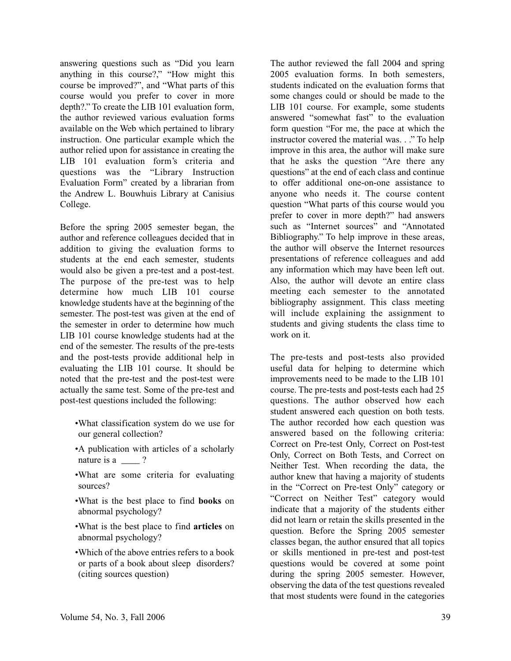answering questions such as "Did you learn anything in this course?," "How might this course be improved?", and "What parts of this course would you prefer to cover in more depth?." To create the LIB 101 evaluation form, the author reviewed various evaluation forms available on the Web which pertained to library instruction. One particular example which the author relied upon for assistance in creating the LIB 101 evaluation form's criteria and questions was the "Library Instruction Evaluation Form" created by a librarian from the Andrew L. Bouwhuis Library at Canisius College.

Before the spring 2005 semester began, the author and reference colleagues decided that in addition to giving the evaluation forms to students at the end each semester, students would also be given a pre-test and a post-test. The purpose of the pre-test was to help determine how much LIB 101 course knowledge students have at the beginning of the semester. The post-test was given at the end of the semester in order to determine how much LIB 101 course knowledge students had at the end of the semester. The results of the pre-tests and the post-tests provide additional help in evaluating the LIB 101 course. It should be noted that the pre-test and the post-test were actually the same test. Some of the pre-test and post-test questions included the following:

- •What classification system do we use for our general collection?
- •A publication with articles of a scholarly nature is a  $\qquad$  ?
- •What are some criteria for evaluating sources?
- •What is the best place to find **books** on abnormal psychology?
- •What is the best place to find **articles** on abnormal psychology?
- •Which of the above entries refers to a book or parts of a book about sleep disorders? (citing sources question)

The author reviewed the fall 2004 and spring 2005 evaluation forms. In both semesters, students indicated on the evaluation forms that some changes could or should be made to the LIB 101 course. For example, some students answered "somewhat fast" to the evaluation form question "For me, the pace at which the instructor covered the material was. . ." To help improve in this area, the author will make sure that he asks the question "Are there any questions" at the end of each class and continue to offer additional one-on-one assistance to anyone who needs it. The course content question "What parts of this course would you prefer to cover in more depth?" had answers such as "Internet sources" and "Annotated Bibliography." To help improve in these areas, the author will observe the Internet resources presentations of reference colleagues and add any information which may have been left out. Also, the author will devote an entire class meeting each semester to the annotated bibliography assignment. This class meeting will include explaining the assignment to students and giving students the class time to work on it.

The pre-tests and post-tests also provided useful data for helping to determine which improvements need to be made to the LIB 101 course. The pre-tests and post-tests each had 25 questions. The author observed how each student answered each question on both tests. The author recorded how each question was answered based on the following criteria: Correct on Pre-test Only, Correct on Post-test Only, Correct on Both Tests, and Correct on Neither Test. When recording the data, the author knew that having a majority of students in the "Correct on Pre-test Only" category or "Correct on Neither Test" category would indicate that a majority of the students either did not learn or retain the skills presented in the question. Before the Spring 2005 semester classes began, the author ensured that all topics or skills mentioned in pre-test and post-test questions would be covered at some point during the spring 2005 semester. However, observing the data of the test questions revealed that most students were found in the categories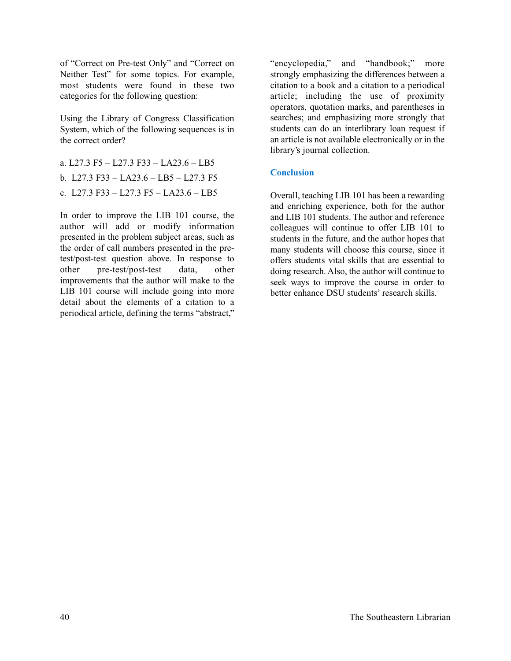of "Correct on Pre-test Only" and "Correct on Neither Test" for some topics. For example, most students were found in these two categories for the following question:

Using the Library of Congress Classification System, which of the following sequences is in the correct order?

a. L27.3 F5 – L27.3 F33 – LA23.6 – LB5 b. L27.3 F33 – LA23.6 – LB5 – L27.3 F5 c. L27.3 F33 – L27.3 F5 – LA23.6 – LB5

In order to improve the LIB 101 course, the author will add or modify information presented in the problem subject areas, such as the order of call numbers presented in the pretest/post-test question above. In response to other pre-test/post-test data, other improvements that the author will make to the LIB 101 course will include going into more detail about the elements of a citation to a periodical article, defining the terms "abstract,"

"encyclopedia," and "handbook;" more strongly emphasizing the differences between a citation to a book and a citation to a periodical article; including the use of proximity operators, quotation marks, and parentheses in searches; and emphasizing more strongly that students can do an interlibrary loan request if an article is not available electronically or in the library's journal collection.

#### **Conclusion**

Overall, teaching LIB 101 has been a rewarding and enriching experience, both for the author and LIB 101 students. The author and reference colleagues will continue to offer LIB 101 to students in the future, and the author hopes that many students will choose this course, since it offers students vital skills that are essential to doing research. Also, the author will continue to seek ways to improve the course in order to better enhance DSU students' research skills.